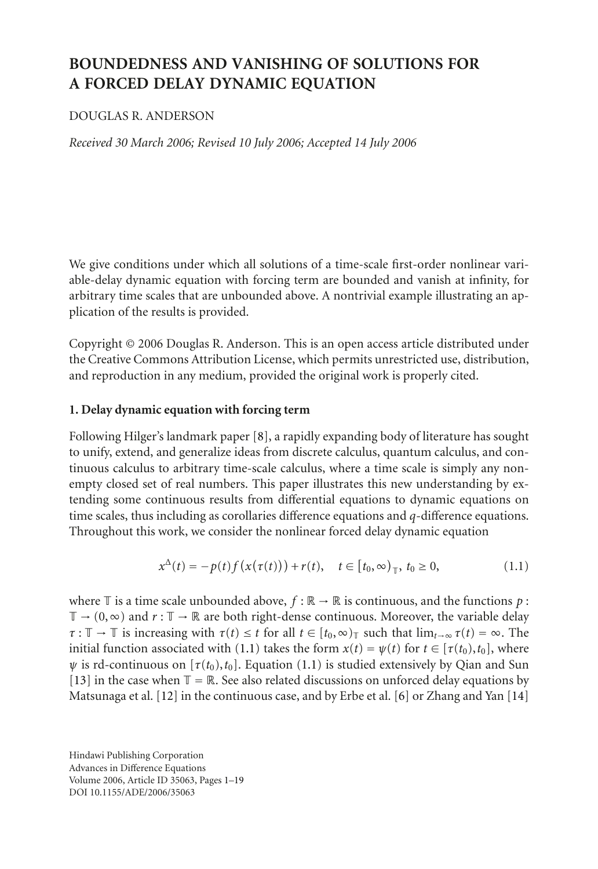# **BOUNDEDNESS AND VANISHING OF SOLUTIONS FOR A FORCED DELAY DYNAMIC EQUATION**

# DOUGLAS R. ANDERSON

*Received 30 March 2006; Revised 10 July 2006; Accepted 14 July 2006*

We give conditions under which all solutions of a time-scale first-order nonlinear variable-delay dynamic equation with forcing term are bounded and vanish at infinity, for arbitrary time scales that are unbounded above. A nontrivial example illustrating an application of the results is provided.

Copyright © 2006 Douglas R. Anderson. This is an open access article distributed under the Creative Commons Attribution License, which permits unrestricted use, distribution, and reproduction in any medium, provided the original work is properly cited.

# **1. Delay dynamic equation with forcing term**

Following Hilger's landmark paper [\[8](#page-18-0)], a rapidly expanding body of literature has sought to unify, extend, and generalize ideas from discrete calculus, quantum calculus, and continuous calculus to arbitrary time-scale calculus, where a time scale is simply any nonempty closed set of real numbers. This paper illustrates this new understanding by extending some continuous results from differential equations to dynamic equations on time scales, thus including as corollaries difference equations and *q*-difference equations. Throughout this work, we consider the nonlinear forced delay dynamic equation

<span id="page-0-0"></span>
$$
x^{\Delta}(t) = -p(t)f(x(\tau(t))) + r(t), \quad t \in [t_0, \infty)_{\mathbb{T}}, t_0 \ge 0,
$$
 (1.1)

where  $\mathbb T$  is a time scale unbounded above,  $f : \mathbb R \to \mathbb R$  is continuous, and the functions  $p$ :  $\mathbb{T} \to (0,\infty)$  and  $r : \mathbb{T} \to \mathbb{R}$  are both right-dense continuous. Moreover, the variable delay  $\tau : \mathbb{T} \to \mathbb{T}$  is increasing with  $\tau(t) \leq t$  for all  $t \in [t_0, \infty)$  such that  $\lim_{t \to \infty} \tau(t) = \infty$ . The initial function associated with [\(1.1\)](#page-0-0) takes the form  $x(t) = \psi(t)$  for  $t \in [\tau(t_0), t_0]$ , where  $\psi$  is rd-continuous on  $[\tau(t_0), t_0]$ . Equation [\(1.1\)](#page-0-0) is studied extensively by Qian and Sun [\[13\]](#page-18-1) in the case when  $\mathbb{T} = \mathbb{R}$ . See also related discussions on unforced delay equations by Matsunaga et al. [\[12\]](#page-18-2) in the continuous case, and by Erbe et al. [\[6\]](#page-18-3) or Zhang and Yan [\[14](#page-18-4)]

Hindawi Publishing Corporation Advances in Difference Equations Volume 2006, Article ID 35063, Pages 1[–19](#page-18-5) DOI 10.1155/ADE/2006/35063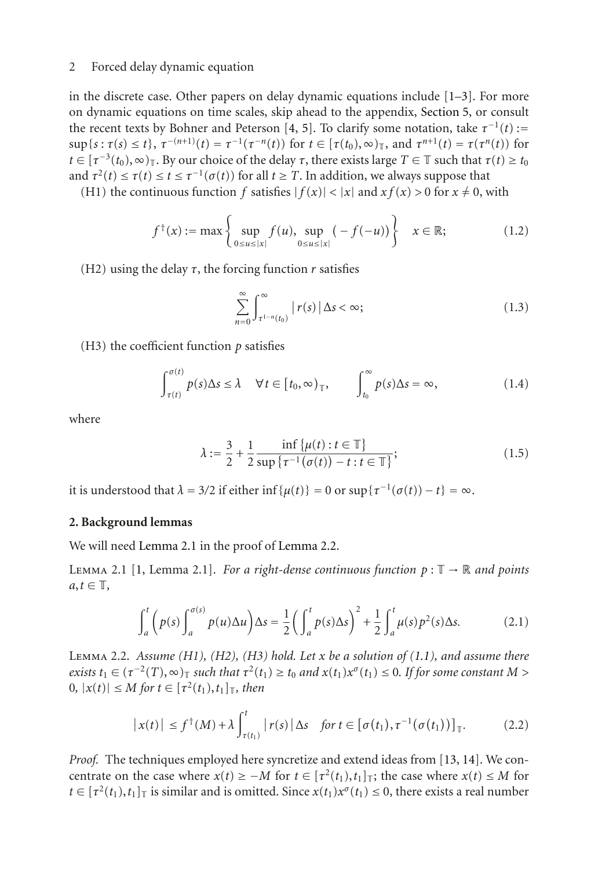in the discrete case. Other papers on delay dynamic equations include  $[1-3]$  $[1-3]$ . For more on dynamic equations on time scales, skip ahead to the appendix, [Section 5,](#page-16-0) or consult the recent texts by Bohner and Peterson [\[4,](#page-18-8) [5](#page-18-9)]. To clarify some notation, take  $\tau^{-1}(t)$  :=  $\sup\{s : \tau(s) \leq t\}, \tau^{-(n+1)}(t) = \tau^{-1}(\tau^{-n}(t))$  for  $t \in [\tau(t_0), \infty)_{\mathbb{T}}$ , and  $\tau^{n+1}(t) = \tau(\tau^{n}(t))$  for  $t \in [\tau^{-3}(t_0), \infty)$ <sub>T</sub>. By our choice of the delay  $\tau$ , there exists large  $T \in \mathbb{T}$  such that  $\tau(t) \geq t_0$ and  $\tau^2(t) \le \tau(t) \le t \le \tau^{-1}(\sigma(t))$  for all  $t \ge T$ . In addition, we always suppose that

(H1) the continuous function *f* satisfies  $|f(x)| < |x|$  and  $xf(x) > 0$  for  $x \neq 0$ , with

$$
f^{\dagger}(x) := \max \left\{ \sup_{0 \le u \le |x|} f(u), \sup_{0 \le u \le |x|} (-f(-u)) \right\} \quad x \in \mathbb{R};
$$
 (1.2)

(H2) using the delay  $\tau$ , the forcing function  $r$  satisfies

$$
\sum_{n=0}^{\infty} \int_{\tau^{1-n}(t_0)}^{\infty} |r(s)| \Delta s < \infty; \tag{1.3}
$$

(H3) the coefficient function  $p$  satisfies

$$
\int_{\tau(t)}^{\sigma(t)} p(s) \Delta s \le \lambda \quad \forall t \in [t_0, \infty)_{\mathbb{T}}, \qquad \int_{t_0}^{\infty} p(s) \Delta s = \infty,
$$
 (1.4)

where

<span id="page-1-2"></span>
$$
\lambda := \frac{3}{2} + \frac{1}{2} \frac{\inf \{ \mu(t) : t \in \mathbb{T} \}}{\sup \{ \tau^{-1}(\sigma(t)) - t : t \in \mathbb{T} \}};
$$
\n(1.5)

it is understood that  $\lambda = 3/2$  if either inf { $\mu(t)$ } = 0 or sup{ $\tau^{-1}(\sigma(t)) - t$ } = ∞.

### **2. Background lemmas**

<span id="page-1-0"></span>We will need [Lemma 2.1](#page-1-0) in the proof of [Lemma 2.2.](#page-1-1)

LEMMA 2.1 [\[1](#page-18-6), Lemma 2.1]. *For a right-dense continuous function*  $p : \mathbb{T} \to \mathbb{R}$  *and points*  $a, t \in \mathbb{T}$ ,

$$
\int_{a}^{t} \left( p(s) \int_{a}^{\sigma(s)} p(u) \Delta u \right) \Delta s = \frac{1}{2} \left( \int_{a}^{t} p(s) \Delta s \right)^{2} + \frac{1}{2} \int_{a}^{t} \mu(s) p^{2}(s) \Delta s. \tag{2.1}
$$

<span id="page-1-1"></span>Lemma 2.2. *Assume (H1), (H2), (H3) hold. Let x be a solution of [\(1.1\)](#page-0-0), and assume there exists*  $t_1 \in (\tau^{-2}(T), \infty)$ <sub>T</sub> *such that*  $\tau^2(t_1) \ge t_0$  *and*  $x(t_1)x^\sigma(t_1) \le 0$ *. If for some constant*  $M >$  $0, |x(t)|$  ≤ *M* for  $t \in [τ<sup>2</sup>(t<sub>1</sub>), t<sub>1</sub>]$ <sub>T</sub>*, then* 

$$
\left| x(t) \right| \le f^{\dagger}(M) + \lambda \int_{\tau(t_1)}^t \left| r(s) \right| \Delta s \quad \text{for } t \in \left[ \sigma(t_1), \tau^{-1}(\sigma(t_1)) \right]_{\mathbb{T}}. \tag{2.2}
$$

*Proof.* The techniques employed here syncretize and extend ideas from [\[13](#page-18-1), [14\]](#page-18-4). We concentrate on the case where  $x(t) \geq -M$  for  $t \in [\tau^2(t_1), t_1]$ ; the case where  $x(t) \leq M$  for  $t \in [\tau^2(t_1), t_1]$  is similar and is omitted. Since  $x(t_1)x^\sigma(t_1) \leq 0$ , there exists a real number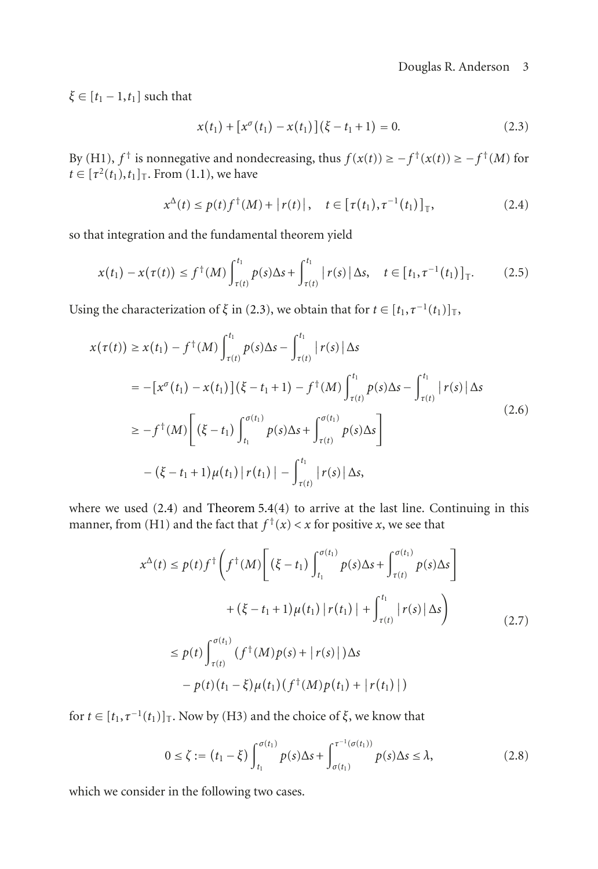$\xi \in [t_1 - 1, t_1]$  such that

<span id="page-2-1"></span><span id="page-2-0"></span>
$$
x(t_1) + [x^{\sigma}(t_1) - x(t_1)](\xi - t_1 + 1) = 0.
$$
 (2.3)

By (H1),  $f^{\dagger}$  is nonnegative and nondecreasing, thus  $f(x(t)) \ge -f^{\dagger}(x(t)) \ge -f^{\dagger}(M)$  for  $t \in [\tau^2(t_1), t_1]$ <sub>T</sub>. From [\(1.1\)](#page-0-0), we have

$$
x^{\Delta}(t) \le p(t)f^{\dagger}(M) + |r(t)|, \quad t \in [\tau(t_1), \tau^{-1}(t_1)]_{\mathbb{T}}, \tag{2.4}
$$

so that integration and the fundamental theorem yield

$$
x(t_1) - x(\tau(t)) \le f^{\dagger}(M) \int_{\tau(t)}^{t_1} p(s) \Delta s + \int_{\tau(t)}^{t_1} |r(s)| \Delta s, \quad t \in [t_1, \tau^{-1}(t_1)]_{\mathbb{T}}.
$$
 (2.5)

Using the characterization of  $\xi$  in [\(2.3\)](#page-2-0), we obtain that for  $t \in [t_1, \tau^{-1}(t_1)]_T$ ,

$$
x(\tau(t)) \ge x(t_1) - f^{\dagger}(M) \int_{\tau(t)}^{t_1} p(s) \Delta s - \int_{\tau(t)}^{t_1} |r(s)| \Delta s
$$
  
\n
$$
= -[x^{\sigma}(t_1) - x(t_1)](\xi - t_1 + 1) - f^{\dagger}(M) \int_{\tau(t)}^{t_1} p(s) \Delta s - \int_{\tau(t)}^{t_1} |r(s)| \Delta s
$$
  
\n
$$
\ge -f^{\dagger}(M) \left[ (\xi - t_1) \int_{t_1}^{\sigma(t_1)} p(s) \Delta s + \int_{\tau(t)}^{\sigma(t_1)} p(s) \Delta s \right]
$$
  
\n
$$
- (\xi - t_1 + 1) \mu(t_1) |r(t_1)| - \int_{\tau(t)}^{t_1} |r(s)| \Delta s,
$$
\n(2.6)

where we used [\(2.4\)](#page-2-1) and [Theorem 5.4\(](#page-17-0)4) to arrive at the last line. Continuing in this manner, from (H1) and the fact that  $f^{\dagger}(x) < x$  for positive *x*, we see that

<span id="page-2-3"></span>
$$
x^{\Delta}(t) \le p(t)f^{\dagger}\left(f^{\dagger}(M)\left[ (\xi - t_{1}) \int_{t_{1}}^{\sigma(t_{1})} p(s) \Delta s + \int_{\tau(t)}^{\sigma(t_{1})} p(s) \Delta s \right] \right.
$$
  
+  $(\xi - t_{1} + 1)\mu(t_{1}) | r(t_{1}) | + \int_{\tau(t)}^{t_{1}} | r(s) | \Delta s \right)$   
 $\le p(t) \int_{\tau(t)}^{\sigma(t_{1})} (f^{\dagger}(M)p(s) + | r(s) |) \Delta s$   
-  $p(t)(t_{1} - \xi)\mu(t_{1}) (f^{\dagger}(M)p(t_{1}) + | r(t_{1}) |)$  (2.7)

for  $t \in [t_1, \tau^{-1}(t_1)]$ <sub>T</sub>. Now by (H3) and the choice of  $\xi$ , we know that

<span id="page-2-2"></span>
$$
0 \le \zeta := (t_1 - \xi) \int_{t_1}^{\sigma(t_1)} p(s) \Delta s + \int_{\sigma(t_1)}^{\tau^{-1}(\sigma(t_1))} p(s) \Delta s \le \lambda,
$$
 (2.8)

which we consider in the following two cases.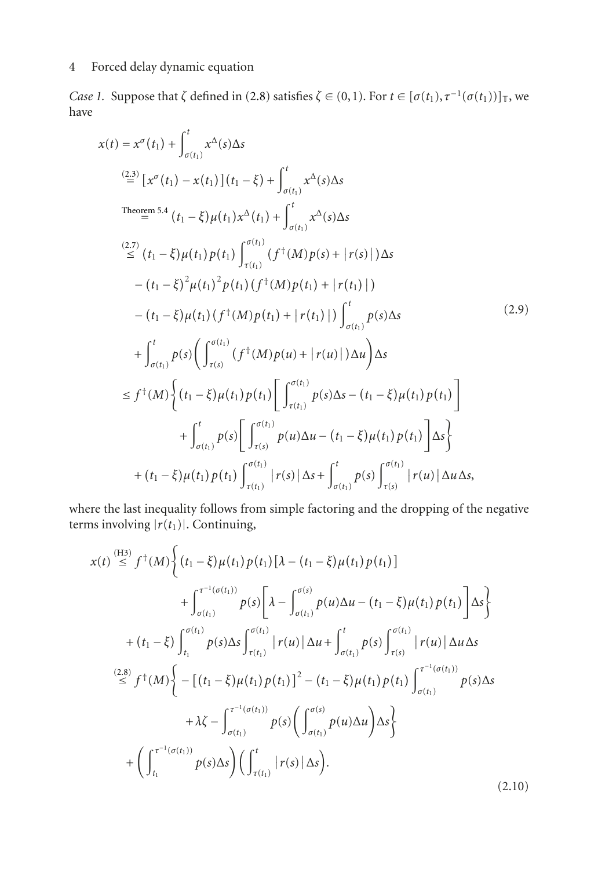*Case 1.* Suppose that  $\zeta$  defined in [\(2.8\)](#page-2-2) satisfies  $\zeta \in (0,1)$ . For  $t \in [\sigma(t_1), \tau^{-1}(\sigma(t_1))]$ , we have

$$
x(t) = x^{\sigma}(t_{1}) + \int_{\sigma(t_{1})}^{t} x^{\Delta}(s) \Delta s
$$
  
\n
$$
\stackrel{(2,3)}{=} [x^{\sigma}(t_{1}) - x(t_{1})](t_{1} - \xi) + \int_{\sigma(t_{1})}^{t} x^{\Delta}(s) \Delta s
$$
  
\n
$$
\stackrel{(2,7)}{\leq} (t_{1} - \xi) \mu(t_{1}) p(t_{1}) \int_{\tau(t_{1})}^{t} (f^{+}(M) p(s) + |r(s)|) \Delta s
$$
  
\n
$$
\stackrel{(2,7)}{=} (t_{1} - \xi) \mu(t_{1}) p(t_{1}) \int_{\tau(t_{1})}^{\sigma(t_{1})} (f^{+}(M) p(s) + |r(s)|) \Delta s
$$
  
\n
$$
\quad - (t_{1} - \xi)^{2} \mu(t_{1})^{2} p(t_{1}) (f^{+}(M) p(t_{1}) + |r(t_{1})|)
$$
  
\n
$$
\quad - (t_{1} - \xi) \mu(t_{1}) (f^{+}(M) p(t_{1}) + |r(t_{1})|) \int_{\sigma(t_{1})}^{t} p(s) \Delta s
$$
  
\n
$$
\quad + \int_{\sigma(t_{1})}^{t} p(s) \left( \int_{\tau(s)}^{\sigma(t_{1})} (f^{+}(M) p(u) + |r(u)|) \Delta u \right) \Delta s
$$
  
\n
$$
\leq f^{+}(M) \left\{ (t_{1} - \xi) \mu(t_{1}) p(t_{1}) \left[ \int_{\tau(t_{1})}^{\sigma(t_{1})} p(s) \Delta s - (t_{1} - \xi) \mu(t_{1}) p(t_{1}) \right] + \int_{\sigma(t_{1})}^{t} p(s) \left[ \int_{\tau(s)}^{\sigma(t_{1})} p(u) \Delta u - (t_{1} - \xi) \mu(t_{1}) p(t_{1}) \right] \Delta s \right\}
$$
  
\n
$$
+ (t_{1} - \xi) \mu(t_{1}) p(t_{1}) \int_{\tau(t_{1})}^{\sigma(t_{1})} |r(s)| \Delta s + \int_{\sigma(t_{1})}^{t} p(s) \int_{\tau(s)}^{\sigma(t_{1})} |r(u)| \Delta u \Delta s,
$$

where the last inequality follows from simple factoring and the dropping of the negative terms involving  $|r(t_1)|$ . Continuing,

$$
x(t) \stackrel{\text{(H3)}}{\leq} f^{\dagger}(M) \Big\{ (t_1 - \xi) \mu(t_1) p(t_1) [\lambda - (t_1 - \xi) \mu(t_1) p(t_1)] + \int_{\sigma(t_1)}^{\tau^{-1}(\sigma(t_1))} p(s) [\lambda - \int_{\sigma(t_1)}^{\sigma(s)} p(u) \Delta u - (t_1 - \xi) \mu(t_1) p(t_1)] \Delta s \Big\} + (t_1 - \xi) \int_{t_1}^{\sigma(t_1)} p(s) \Delta s \int_{\tau(t_1)}^{\sigma(t_1)} |r(u)| \Delta u + \int_{\sigma(t_1)}^t p(s) \int_{\tau(s)}^{\sigma(t_1)} |r(u)| \Delta u \Delta s \n\stackrel{\text{(2.8)}}{\leq} f^{\dagger}(M) \Big\{ - [(t_1 - \xi) \mu(t_1) p(t_1)]^2 - (t_1 - \xi) \mu(t_1) p(t_1) \int_{\sigma(t_1)}^{\tau^{-1}(\sigma(t_1))} p(s) \Delta s + \lambda \zeta - \int_{\sigma(t_1)}^{\tau^{-1}(\sigma(t_1))} p(s) (\int_{\sigma(t_1)}^{\sigma(s)} p(u) \Delta u) \Delta s \Big\} + \left( \int_{t_1}^{\tau^{-1}(\sigma(t_1))} p(s) \Delta s \right) (\int_{\tau(t_1)}^t |r(s)| \Delta s).
$$
\n(2.10)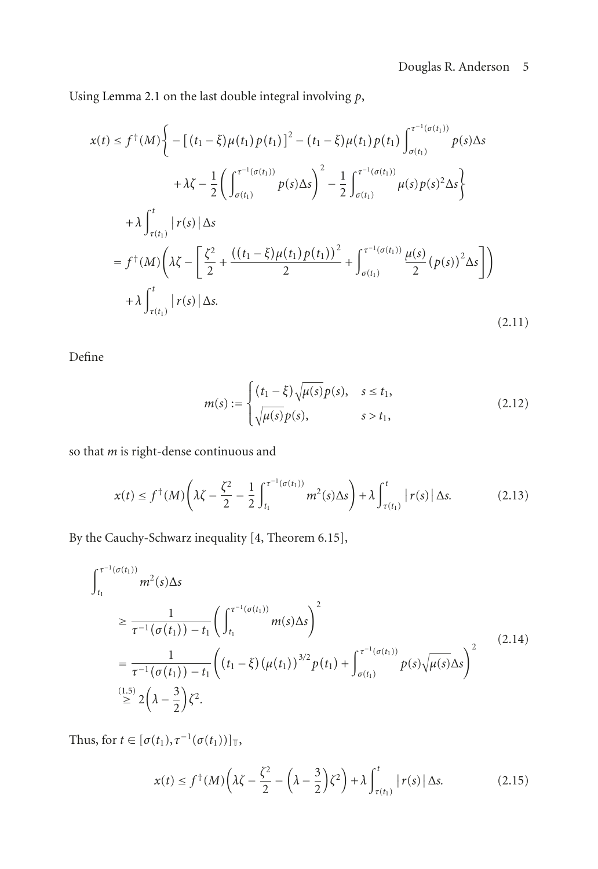Using [Lemma 2.1](#page-1-0) on the last double integral involving *p*,

$$
x(t) \le f^{\dagger}(M) \Bigg\{ - \big[ (t_1 - \xi) \mu(t_1) p(t_1) \big]^2 - (t_1 - \xi) \mu(t_1) p(t_1) \int_{\sigma(t_1)}^{\tau^{-1}(\sigma(t_1))} p(s) \Delta s + \lambda \zeta - \frac{1}{2} \bigg( \int_{\sigma(t_1)}^{\tau^{-1}(\sigma(t_1))} p(s) \Delta s \bigg)^2 - \frac{1}{2} \int_{\sigma(t_1)}^{\tau^{-1}(\sigma(t_1))} \mu(s) p(s)^2 \Delta s \Bigg\} + \lambda \int_{\tau(t_1)}^t |r(s)| \Delta s = f^{\dagger}(M) \bigg( \lambda \zeta - \bigg[ \frac{\zeta^2}{2} + \frac{((t_1 - \xi) \mu(t_1) p(t_1))^2}{2} + \int_{\sigma(t_1)}^{\tau^{-1}(\sigma(t_1))} \frac{\mu(s)}{2} (p(s))^2 \Delta s \bigg] \bigg) + \lambda \int_{\tau(t_1)}^t |r(s)| \Delta s.
$$
\n(2.11)

Define

$$
m(s) := \begin{cases} (t_1 - \xi)\sqrt{\mu(s)}p(s), & s \le t_1, \\ \sqrt{\mu(s)}p(s), & s > t_1, \end{cases}
$$
(2.12)

so that *m* is right-dense continuous and

$$
x(t) \le f^{\dagger}(M) \left(\lambda \zeta - \frac{\zeta^2}{2} - \frac{1}{2} \int_{t_1}^{\tau^{-1}(\sigma(t_1))} m^2(s) \Delta s\right) + \lambda \int_{\tau(t_1)}^t |r(s)| \Delta s. \tag{2.13}
$$

By the Cauchy-Schwarz inequality [\[4](#page-18-8), Theorem 6.15],

$$
\int_{t_1}^{\tau^{-1}(\sigma(t_1))} m^2(s) \Delta s
$$
\n
$$
\geq \frac{1}{\tau^{-1}(\sigma(t_1)) - t_1} \left( \int_{t_1}^{\tau^{-1}(\sigma(t_1))} m(s) \Delta s \right)^2
$$
\n
$$
= \frac{1}{\tau^{-1}(\sigma(t_1)) - t_1} \left( (t_1 - \xi) (\mu(t_1))^{3/2} p(t_1) + \int_{\sigma(t_1)}^{\tau^{-1}(\sigma(t_1))} p(s) \sqrt{\mu(s)} \Delta s \right)^2
$$
\n(2.14)\n
$$
\stackrel{(1.5)}{\geq} 2\left(\lambda - \frac{3}{2}\right) \zeta^2.
$$

Thus, for  $t \in [\sigma(t_1), \tau^{-1}(\sigma(t_1))]_{\mathbb{T}},$ 

<span id="page-4-0"></span>
$$
x(t) \le f^{\dagger}(M) \left(\lambda \zeta - \frac{\zeta^2}{2} - \left(\lambda - \frac{3}{2}\right) \zeta^2\right) + \lambda \int_{\tau(t_1)}^t |r(s)| \, \Delta s. \tag{2.15}
$$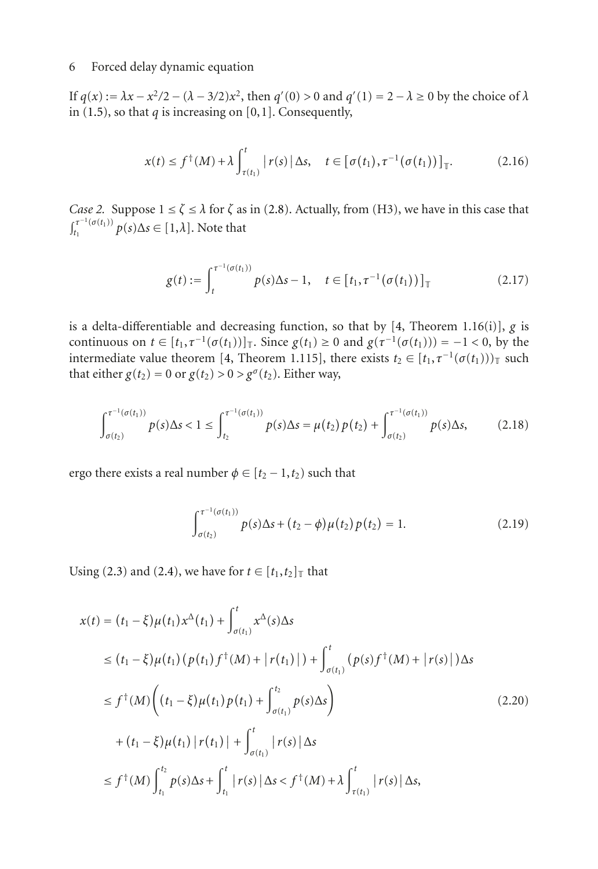If *q*(*x*) := *λx* − *x*<sup>2</sup>/2 − (*λ* − 3/2)*x*<sup>2</sup>, then *q*'(0) > 0 and *q*'(1) = 2 − *λ* ≥ 0 by the choice of *λ* in  $(1.5)$ , so that *q* is increasing on  $[0,1]$ . Consequently,

$$
x(t) \le f^{\dagger}(M) + \lambda \int_{\tau(t_1)}^t |r(s)| \Delta s, \quad t \in [\sigma(t_1), \tau^{-1}(\sigma(t_1))]_{\mathbb{T}}.
$$
 (2.16)

*Case 2.* Suppose  $1 \le \zeta \le \lambda$  for  $\zeta$  as in [\(2.8\)](#page-2-2). Actually, from (H3), we have in this case that  $\int_{t_1}^{\tau^{-1}(\sigma(t_1))} p(s) \Delta s \in [1, \lambda]$ . Note that

$$
g(t) := \int_{t}^{\tau^{-1}(\sigma(t_1))} p(s) \Delta s - 1, \quad t \in [t_1, \tau^{-1}(\sigma(t_1))]_{\mathbb{T}}
$$
(2.17)

is a delta-differentiable and decreasing function, so that by [\[4,](#page-18-8) Theorem 1.16(i)], *g* is continuous on  $t \in [t_1, \tau^{-1}(\sigma(t_1))]$ . Since  $g(t_1) \geq 0$  and  $g(\tau^{-1}(\sigma(t_1))) = -1 < 0$ , by the intermediate value theorem [\[4](#page-18-8), Theorem 1.115], there exists  $t_2 \in [t_1, \tau^{-1}(\sigma(t_1)))$  such that either  $g(t_2) = 0$  or  $g(t_2) > 0 > g^{\sigma}(t_2)$ . Either way,

$$
\int_{\sigma(t_2)}^{\tau^{-1}(\sigma(t_1))} p(s) \Delta s < 1 \le \int_{t_2}^{\tau^{-1}(\sigma(t_1))} p(s) \Delta s = \mu(t_2) p(t_2) + \int_{\sigma(t_2)}^{\tau^{-1}(\sigma(t_1))} p(s) \Delta s,\tag{2.18}
$$

ergo there exists a real number  $\phi \in [t_2 - 1, t_2)$  such that

<span id="page-5-0"></span>
$$
\int_{\sigma(t_2)}^{\tau^{-1}(\sigma(t_1))} p(s) \Delta s + (t_2 - \phi) \mu(t_2) p(t_2) = 1.
$$
 (2.19)

Using [\(2.3\)](#page-2-0) and [\(2.4\)](#page-2-1), we have for  $t \in [t_1, t_2]$ <sub>T</sub> that

$$
x(t) = (t_1 - \xi)\mu(t_1)x^{\Delta}(t_1) + \int_{\sigma(t_1)}^{t} x^{\Delta}(s)\Delta s
$$
  
\n
$$
\leq (t_1 - \xi)\mu(t_1)(p(t_1)f^{\dagger}(M) + |r(t_1)|) + \int_{\sigma(t_1)}^{t} (p(s)f^{\dagger}(M) + |r(s)|)\Delta s
$$
  
\n
$$
\leq f^{\dagger}(M) \bigg( (t_1 - \xi)\mu(t_1)p(t_1) + \int_{\sigma(t_1)}^{t_2} p(s)\Delta s \bigg)
$$
  
\n
$$
+ (t_1 - \xi)\mu(t_1)|r(t_1)| + \int_{\sigma(t_1)}^{t} |r(s)|\Delta s
$$
  
\n
$$
\leq f^{\dagger}(M) \int_{t_1}^{t_2} p(s)\Delta s + \int_{t_1}^{t} |r(s)|\Delta s < f^{\dagger}(M) + \lambda \int_{\tau(t_1)}^{t} |r(s)|\Delta s,
$$
\n(2.20)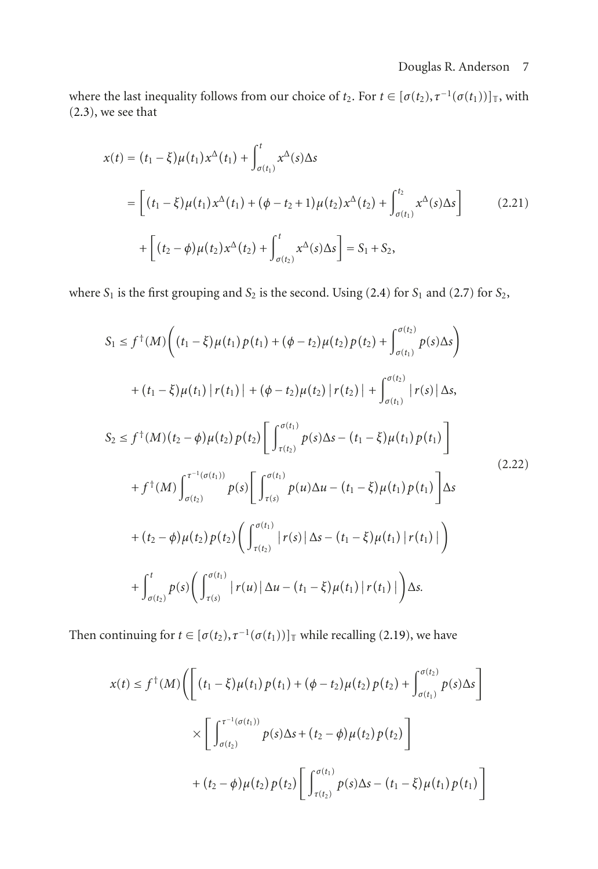where the last inequality follows from our choice of  $t_2$ . For  $t \in [\sigma(t_2), \tau^{-1}(\sigma(t_1))]$ <sub>T</sub>, with [\(2.3\)](#page-2-0), we see that

$$
x(t) = (t_1 - \xi)\mu(t_1)x^{\Delta}(t_1) + \int_{\sigma(t_1)}^{t} x^{\Delta}(s)\Delta s
$$
  
\n
$$
= \left[ (t_1 - \xi)\mu(t_1)x^{\Delta}(t_1) + (\phi - t_2 + 1)\mu(t_2)x^{\Delta}(t_2) + \int_{\sigma(t_1)}^{t_2} x^{\Delta}(s)\Delta s \right]
$$
(2.21)  
\n
$$
+ \left[ (t_2 - \phi)\mu(t_2)x^{\Delta}(t_2) + \int_{\sigma(t_2)}^{t} x^{\Delta}(s)\Delta s \right] = S_1 + S_2,
$$

where  $S_1$  is the first grouping and  $S_2$  is the second. Using [\(2.4\)](#page-2-1) for  $S_1$  and [\(2.7\)](#page-2-3) for  $S_2$ ,

$$
S_{1} \leq f^{\dagger}(M) \Big( (t_{1} - \xi) \mu(t_{1}) p(t_{1}) + (\phi - t_{2}) \mu(t_{2}) p(t_{2}) + \int_{\sigma(t_{1})}^{\sigma(t_{2})} p(s) \Delta s \Big) + (t_{1} - \xi) \mu(t_{1}) | r(t_{1}) | + (\phi - t_{2}) \mu(t_{2}) | r(t_{2}) | + \int_{\sigma(t_{1})}^{\sigma(t_{2})} | r(s) | \Delta s, S_{2} \leq f^{\dagger}(M) (t_{2} - \phi) \mu(t_{2}) p(t_{2}) \Big[ \int_{\tau(t_{2})}^{\sigma(t_{1})} p(s) \Delta s - (t_{1} - \xi) \mu(t_{1}) p(t_{1}) \Big] + f^{\dagger}(M) \int_{\sigma(t_{2})}^{\tau^{-1}(\sigma(t_{1}))} p(s) \Big[ \int_{\tau(s)}^{\sigma(t_{1})} p(u) \Delta u - (t_{1} - \xi) \mu(t_{1}) p(t_{1}) \Big] \Delta s + (t_{2} - \phi) \mu(t_{2}) p(t_{2}) \Big( \int_{\tau(t_{2})}^{\sigma(t_{1})} | r(s) | \Delta s - (t_{1} - \xi) \mu(t_{1}) | r(t_{1}) | \Big) + \int_{\sigma(t_{2})}^{t} p(s) \Big( \int_{\tau(s)}^{\sigma(t_{1})} | r(u) | \Delta u - (t_{1} - \xi) \mu(t_{1}) | r(t_{1}) | \Big) \Delta s.
$$
\n(2.22)

Then continuing for  $t \in [\sigma(t_2), \tau^{-1}(\sigma(t_1))]$ <sub>T</sub> while recalling [\(2.19\)](#page-5-0), we have

$$
x(t) \le f^{\dagger}(M) \Biggl( \Biggl[ (t_1 - \xi) \mu(t_1) p(t_1) + (\phi - t_2) \mu(t_2) p(t_2) + \int_{\sigma(t_1)}^{\sigma(t_2)} p(s) \Delta s \Biggr]
$$
  
 
$$
\times \Biggl[ \int_{\sigma(t_2)}^{\tau^{-1}(\sigma(t_1))} p(s) \Delta s + (t_2 - \phi) \mu(t_2) p(t_2) \Biggr]
$$
  
 
$$
+ (t_2 - \phi) \mu(t_2) p(t_2) \Biggl[ \int_{\tau(t_2)}^{\sigma(t_1)} p(s) \Delta s - (t_1 - \xi) \mu(t_1) p(t_1) \Biggr]
$$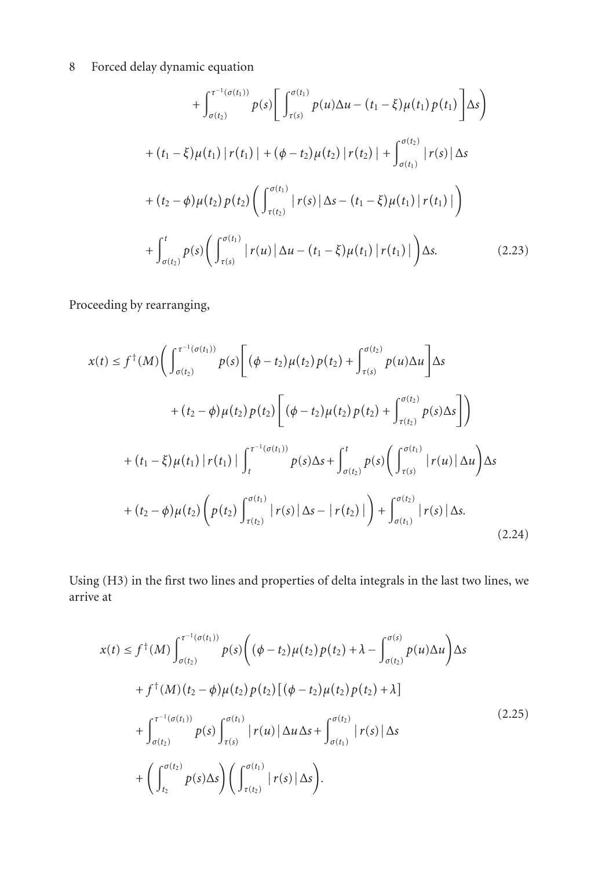$$
+\int_{\sigma(t_2)}^{\tau^{-1}(\sigma(t_1))} p(s) \left[ \int_{\tau(s)}^{\sigma(t_1)} p(u) \Delta u - (t_1 - \xi) \mu(t_1) p(t_1) \right] \Delta s \right)
$$
  
+ 
$$
(t_1 - \xi) \mu(t_1) |r(t_1)| + (\phi - t_2) \mu(t_2) |r(t_2)| + \int_{\sigma(t_1)}^{\sigma(t_2)} |r(s)| \Delta s
$$
  
+ 
$$
(t_2 - \phi) \mu(t_2) p(t_2) \left( \int_{\tau(t_2)}^{\sigma(t_1)} |r(s)| \Delta s - (t_1 - \xi) \mu(t_1) |r(t_1)| \right)
$$
  
+ 
$$
\int_{\sigma(t_2)}^t p(s) \left( \int_{\tau(s)}^{\sigma(t_1)} |r(u)| \Delta u - (t_1 - \xi) \mu(t_1) |r(t_1)| \right) \Delta s.
$$
 (2.23)

Proceeding by rearranging,

$$
x(t) \le f^{\dagger}(M) \Biggl( \int_{\sigma(t_2)}^{\tau^{-1}(\sigma(t_1))} p(s) \Biggl[ (\phi - t_2) \mu(t_2) p(t_2) + \int_{\tau(s)}^{\sigma(t_2)} p(u) \Delta u \Biggr] \Delta s
$$
  
+  $(t_2 - \phi) \mu(t_2) p(t_2) \Biggl[ (\phi - t_2) \mu(t_2) p(t_2) + \int_{\tau(t_2)}^{\sigma(t_2)} p(s) \Delta s \Biggr] \Biggr)$   
+  $(t_1 - \xi) \mu(t_1) | r(t_1) | \int_{t}^{\tau^{-1}(\sigma(t_1))} p(s) \Delta s + \int_{\sigma(t_2)}^{t} p(s) \Biggl( \int_{\tau(s)}^{\sigma(t_1)} | r(u) | \Delta u \Biggr) \Delta s$   
+  $(t_2 - \phi) \mu(t_2) \Biggl( p(t_2) \int_{\tau(t_2)}^{\sigma(t_1)} | r(s) | \Delta s - | r(t_2) | \Biggr) + \int_{\sigma(t_1)}^{\sigma(t_2)} | r(s) | \Delta s.$  (2.24)

Using (H3) in the first two lines and properties of delta integrals in the last two lines, we arrive at

$$
x(t) \le f^{\dagger}(M) \int_{\sigma(t_2)}^{\tau^{-1}(\sigma(t_1))} p(s) \left( (\phi - t_2) \mu(t_2) p(t_2) + \lambda - \int_{\sigma(t_2)}^{\sigma(s)} p(u) \Delta u \right) \Delta s
$$
  
+  $f^{\dagger}(M) (t_2 - \phi) \mu(t_2) p(t_2) [(\phi - t_2) \mu(t_2) p(t_2) + \lambda]$   
+  $\int_{\sigma(t_2)}^{\tau^{-1}(\sigma(t_1))} p(s) \int_{\tau(s)}^{\sigma(t_1)} |r(u)| \Delta u \Delta s + \int_{\sigma(t_1)}^{\sigma(t_2)} |r(s)| \Delta s$   
+  $\left( \int_{t_2}^{\sigma(t_2)} p(s) \Delta s \right) \left( \int_{\tau(t_2)}^{\sigma(t_1)} |r(s)| \Delta s \right).$  (2.25)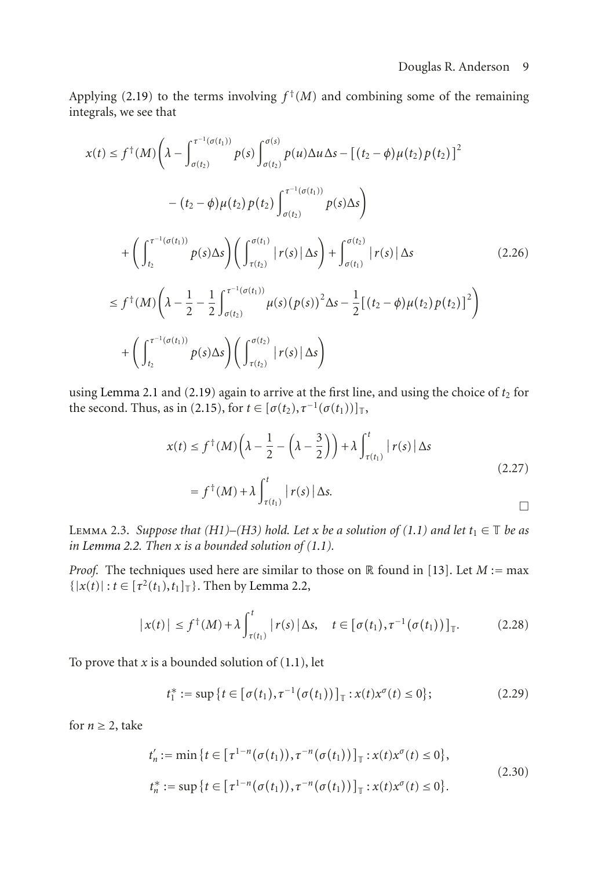Applying [\(2.19\)](#page-5-0) to the terms involving  $f^{\dagger}(M)$  and combining some of the remaining integrals, we see that

$$
x(t) \leq f^{\dagger}(M) \left( \lambda - \int_{\sigma(t_2)}^{\tau^{-1}(\sigma(t_1))} p(s) \int_{\sigma(t_2)}^{\sigma(s)} p(u) \Delta u \Delta s - \left[ (t_2 - \phi) \mu(t_2) p(t_2) \right]^2 \right. \\
\left. - (t_2 - \phi) \mu(t_2) p(t_2) \int_{\sigma(t_2)}^{\tau^{-1}(\sigma(t_1))} p(s) \Delta s \right)
$$
\n
$$
+ \left( \int_{t_2}^{\tau^{-1}(\sigma(t_1))} p(s) \Delta s \right) \left( \int_{\tau(t_2)}^{\sigma(t_1)} |r(s)| \Delta s \right) + \int_{\sigma(t_1)}^{\sigma(t_2)} |r(s)| \Delta s \qquad (2.26)
$$
\n
$$
\leq f^{\dagger}(M) \left( \lambda - \frac{1}{2} - \frac{1}{2} \int_{\sigma(t_2)}^{\tau^{-1}(\sigma(t_1))} \mu(s) (p(s))^2 \Delta s - \frac{1}{2} \left[ (t_2 - \phi) \mu(t_2) p(t_2) \right]^2 \right)
$$
\n
$$
+ \left( \int_{t_2}^{\tau^{-1}(\sigma(t_1))} p(s) \Delta s \right) \left( \int_{\tau(t_2)}^{\sigma(t_2)} |r(s)| \Delta s \right)
$$

using [Lemma 2.1](#page-1-0) and  $(2.19)$  again to arrive at the first line, and using the choice of  $t_2$  for the second. Thus, as in [\(2.15\)](#page-4-0), for  $t \in [\sigma(t_2), \tau^{-1}(\sigma(t_1))]_{\mathbb{T}},$ 

$$
x(t) \le f^{\dagger}(M) \left(\lambda - \frac{1}{2} - \left(\lambda - \frac{3}{2}\right)\right) + \lambda \int_{\tau(t_1)}^t |r(s)| \Delta s
$$
  
=  $f^{\dagger}(M) + \lambda \int_{\tau(t_1)}^t |r(s)| \Delta s.$  (2.27)

<span id="page-8-0"></span>LEMMA 2.3. *Suppose that (H1)–(H3) hold. Let x be a solution of [\(1.1\)](#page-0-0) and let*  $t_1 \in \mathbb{T}$  *be as in* [Lemma 2.2.](#page-1-1) Then  $x$  *is a bounded solution of [\(1.1\)](#page-0-0).* 

*Proof.* The techniques used here are similar to those on  $\mathbb R$  found in [\[13\]](#page-18-1). Let  $M := \max$  $\{ |x(t)| : t \in [\tau^2(t_1), t_1]_{\mathbb{T}} \}$ . Then by [Lemma 2.2,](#page-1-1)

$$
\left|x(t)\right| \leq f^{\dagger}(M) + \lambda \int_{\tau(t_1)}^t \left| r(s) \right| \Delta s, \quad t \in \left[\sigma(t_1), \tau^{-1}(\sigma(t_1))\right]_{\mathbb{T}}.
$$
 (2.28)

To prove that  $x$  is a bounded solution of  $(1.1)$ , let

$$
t_1^* := \sup \{ t \in [\sigma(t_1), \tau^{-1}(\sigma(t_1))]_{\mathbb{T}} : x(t) x^{\sigma}(t) \le 0 \};
$$
 (2.29)

for  $n \geq 2$ , take

$$
t'_{n} := \min \{ t \in [\tau^{1-n}(\sigma(t_{1})), \tau^{-n}(\sigma(t_{1}))]_{\top} : x(t)x^{\sigma}(t) \le 0 \},
$$
  
\n
$$
t_{n}^{*} := \sup \{ t \in [\tau^{1-n}(\sigma(t_{1})), \tau^{-n}(\sigma(t_{1}))]_{\top} : x(t)x^{\sigma}(t) \le 0 \}.
$$
\n(2.30)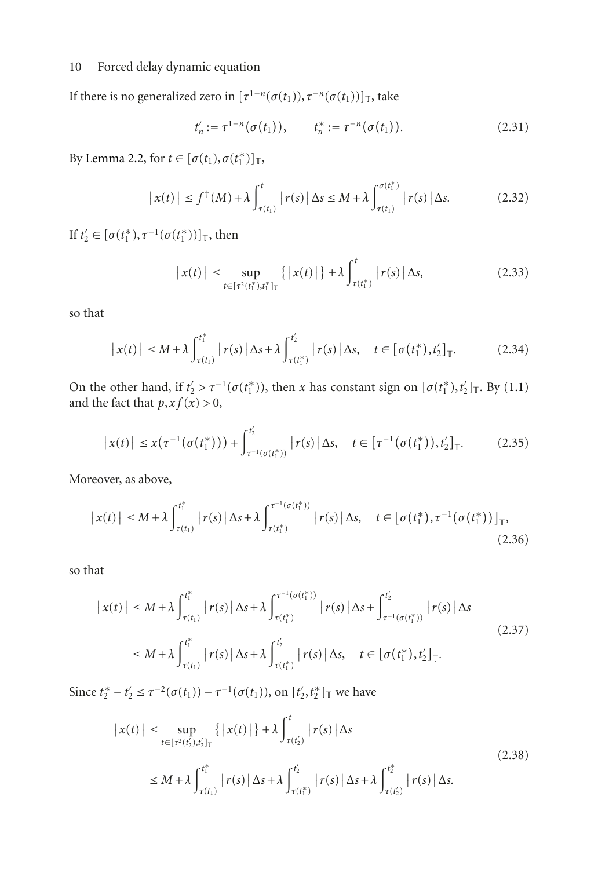If there is no generalized zero in  $[\tau^{1-n}(\sigma(t_1)), \tau^{-n}(\sigma(t_1))]_{\mathbb{T}}$ , take

$$
t'_n := \tau^{1-n}(\sigma(t_1)), \qquad t_n^* := \tau^{-n}(\sigma(t_1)). \tag{2.31}
$$

By [Lemma 2.2,](#page-1-1) for  $t \in [\sigma(t_1), \sigma(t_1^*)]_{\mathbb{T}},$ 

$$
\left| x(t) \right| \le f^{\dagger}(M) + \lambda \int_{\tau(t_1)}^t \left| r(s) \right| \Delta s \le M + \lambda \int_{\tau(t_1)}^{\sigma(t_1^*)} \left| r(s) \right| \Delta s. \tag{2.32}
$$

If *t*'<sub>2</sub> ∈ [*σ*(*t*<sub>1</sub><sup>\*</sup>),  $τ^{-1}(σ(t_1^*))$ ]<sub>T</sub>, then

$$
|x(t)| \leq \sup_{t \in [\tau^2(t_1^*), t_1^*]_\top} \{ |x(t)| \} + \lambda \int_{\tau(t_1^*)}^t |r(s)| \, \Delta s,\tag{2.33}
$$

so that

$$
\left| x(t) \right| \leq M + \lambda \int_{\tau(t_1)}^{t_1^*} \left| r(s) \right| \Delta s + \lambda \int_{\tau(t_1^*)}^{t_2'} \left| r(s) \right| \Delta s, \quad t \in \left[ \sigma(t_1^*), t_2' \right]_{\mathbb{T}}. \tag{2.34}
$$

On the other hand, if  $t'_2 > \tau^{-1}(\sigma(t_1^*))$ , then *x* has constant sign on  $[\sigma(t_1^*), t'_2]_{\mathbb{T}}$ . By [\(1.1\)](#page-0-0) and the fact that  $p, xf(x) > 0$ ,

$$
\left| x(t) \right| \leq x(\tau^{-1}(\sigma(t_1^*))) + \int_{\tau^{-1}(\sigma(t_1^*))}^{t_2'} \left| r(s) \right| \Delta s, \quad t \in \left[ \tau^{-1}(\sigma(t_1^*)), t_2' \right]_{\mathbb{T}}.
$$
 (2.35)

Moreover, as above,

$$
\left| x(t) \right| \leq M + \lambda \int_{\tau(t_1)}^{t_1^*} \left| r(s) \right| \Delta s + \lambda \int_{\tau(t_1^*)}^{\tau^{-1}(\sigma(t_1^*))} \left| r(s) \right| \Delta s, \quad t \in \left[ \sigma(t_1^*), \tau^{-1}(\sigma(t_1^*)) \right]_{\mathbb{T}}, \tag{2.36}
$$

so that

$$
\left| x(t) \right| \leq M + \lambda \int_{\tau(t_1)}^{t_1^*} \left| r(s) \right| \Delta s + \lambda \int_{\tau(t_1^*)}^{\tau^{-1}(\sigma(t_1^*))} \left| r(s) \right| \Delta s + \int_{\tau^{-1}(\sigma(t_1^*))}^{t_2'} \left| r(s) \right| \Delta s
$$
\n
$$
\leq M + \lambda \int_{\tau(t_1)}^{t_1^*} \left| r(s) \right| \Delta s + \lambda \int_{\tau(t_1^*)}^{t_2'} \left| r(s) \right| \Delta s, \quad t \in \left[ \sigma(t_1^*), t_2' \right]_{\mathbb{T}}.
$$
\n(2.37)

Since  $t_2^* - t_2' \le \tau^{-2}(\sigma(t_1)) - \tau^{-1}(\sigma(t_1))$ , on  $[t_2', t_2^*]_{\mathbb{T}}$  we have

$$
|x(t)| \leq \sup_{t \in [\tau^2(t_2'), t_2']}\{ |x(t)| \} + \lambda \int_{\tau(t_2')}^t |r(s)| \Delta s
$$
  
 
$$
\leq M + \lambda \int_{\tau(t_1)}^{t_1^*} |r(s)| \Delta s + \lambda \int_{\tau(t_1^*)}^{t_2'} |r(s)| \Delta s + \lambda \int_{\tau(t_2')}^{t_2^*} |r(s)| \Delta s.
$$
 (2.38)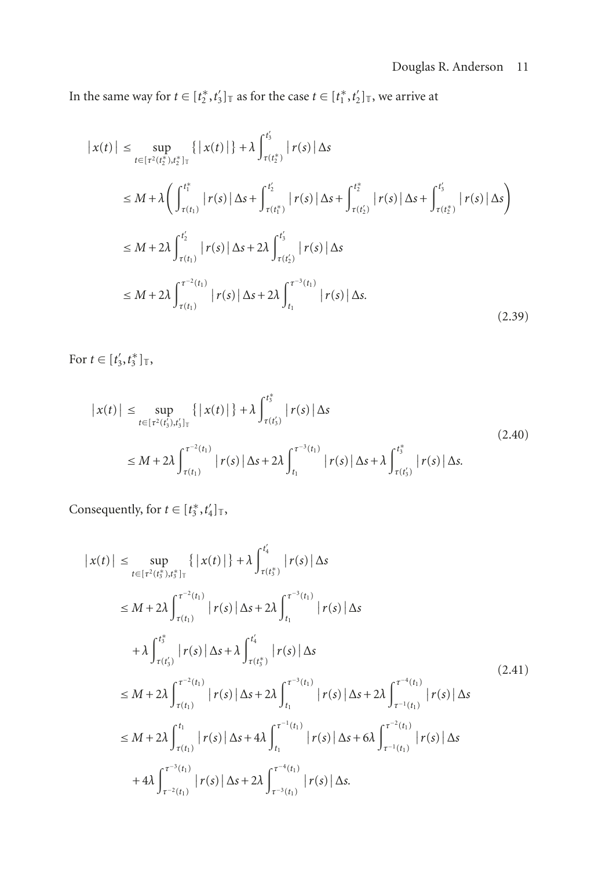In the same way for  $t \in [t_2^*, t_3']_{\mathbb{T}}$  as for the case  $t \in [t_1^*, t_2']_{\mathbb{T}}$ , we arrive at

$$
|x(t)| \leq \sup_{t \in [\tau^2(t_2^*), t_2^*]_T} \{ |x(t)| \} + \lambda \int_{\tau(t_2^*)}^{t_3'} |r(s)| \Delta s
$$
  
\n
$$
\leq M + \lambda \Biggl( \int_{\tau(t_1)}^{t_1^*} |r(s)| \Delta s + \int_{\tau(t_1^*)}^{t_2'} |r(s)| \Delta s + \int_{\tau(t_2^*)}^{t_2^*} |r(s)| \Delta s + \int_{\tau(t_2^*)}^{t_3'} |r(s)| \Delta s \Biggr)
$$
  
\n
$$
\leq M + 2\lambda \int_{\tau(t_1)}^{t_2'} |r(s)| \Delta s + 2\lambda \int_{\tau(t_2^*)}^{t_3'} |r(s)| \Delta s
$$
  
\n
$$
\leq M + 2\lambda \int_{\tau(t_1)}^{\tau^{-2}(t_1)} |r(s)| \Delta s + 2\lambda \int_{t_1}^{\tau^{-3}(t_1)} |r(s)| \Delta s.
$$
\n(2.39)

For  $t \in [t'_3, t^*_3]_{\top}$ ,

$$
\begin{aligned} \left| \, x(t) \, \right| &\leq \sup_{t \in \left[ \tau^2(t'_3), t'_3 \right]_T} \left\{ \, \left| \, x(t) \, \right| \, \right\} + \lambda \int_{\tau(t'_3)}^{t_3^*} \left| \, r(s) \, \right| \, \Delta s \\ &\leq M + 2\lambda \int_{\tau(t_1)}^{\tau^{-2}(t_1)} \left| \, r(s) \, \right| \, \Delta s + 2\lambda \int_{t_1}^{\tau^{-3}(t_1)} \left| \, r(s) \, \right| \, \Delta s + \lambda \int_{\tau(t'_3)}^{t_3^*} \left| \, r(s) \, \right| \, \Delta s. \end{aligned} \tag{2.40}
$$

Consequently, for  $t \in [t_3^*, t_4']_{\mathbb{T}}$ ,

$$
|x(t)| \leq \sup_{t \in [\tau^{2}(t_{3}^{*}), t_{3}^{*}]_{T}} \{ |x(t)| \} + \lambda \int_{\tau(t_{3}^{*})}^{t_{4}^{*}} |r(s)| \Delta s
$$
  
\n
$$
\leq M + 2\lambda \int_{\tau(t_{1})}^{\tau^{-2}(t_{1})} |r(s)| \Delta s + 2\lambda \int_{t_{1}}^{\tau^{-3}(t_{1})} |r(s)| \Delta s
$$
  
\n
$$
+ \lambda \int_{\tau(t_{3}^{*})}^{t_{3}^{*}} |r(s)| \Delta s + \lambda \int_{\tau(t_{3}^{*})}^{t_{4}^{*}} |r(s)| \Delta s
$$
  
\n
$$
\leq M + 2\lambda \int_{\tau(t_{1})}^{\tau^{-2}(t_{1})} |r(s)| \Delta s + 2\lambda \int_{t_{1}}^{\tau^{-3}(t_{1})} |r(s)| \Delta s + 2\lambda \int_{\tau^{-1}(t_{1})}^{\tau^{-4}(t_{1})} |r(s)| \Delta s
$$
  
\n
$$
\leq M + 2\lambda \int_{\tau(t_{1})}^{t_{1}} |r(s)| \Delta s + 4\lambda \int_{t_{1}}^{\tau^{-1}(t_{1})} |r(s)| \Delta s + 6\lambda \int_{\tau^{-1}(t_{1})}^{\tau^{-2}(t_{1})} |r(s)| \Delta s
$$
  
\n
$$
+ 4\lambda \int_{\tau^{-2}(t_{1})}^{\tau^{-3}(t_{1})} |r(s)| \Delta s + 2\lambda \int_{\tau^{-3}(t_{1})}^{\tau^{-4}(t_{1})} |r(s)| \Delta s.
$$
 (2.41)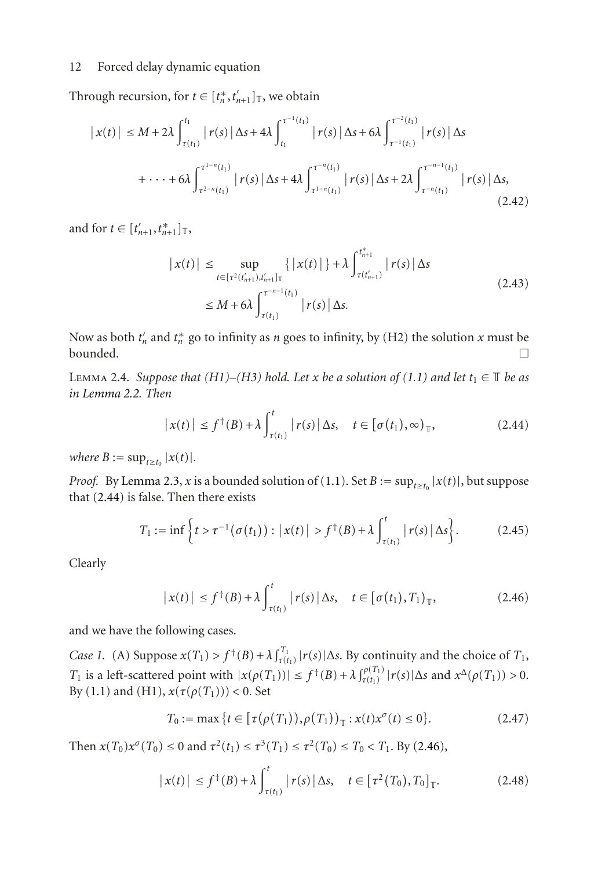Through recursion, for  $t \in [t_n^*, t_{n+1}']_{\mathbb{T}}$ , we obtain

$$
\left| x(t) \right| \leq M + 2\lambda \int_{\tau(t_1)}^{t_1} \left| r(s) \right| \Delta s + 4\lambda \int_{t_1}^{\tau^{-1}(t_1)} \left| r(s) \right| \Delta s + 6\lambda \int_{\tau^{-1}(t_1)}^{\tau^{-2}(t_1)} \left| r(s) \right| \Delta s
$$
  
+ \cdots + 6\lambda \int\_{\tau^{2-n}(t\_1)}^{\tau^{1-n}(t\_1)} \left| r(s) \right| \Delta s + 4\lambda \int\_{\tau^{-1}(t\_1)}^{\tau^{-n}(t\_1)} \left| r(s) \right| \Delta s + 2\lambda \int\_{\tau^{-n}(t\_1)}^{\tau^{-n-1}(t\_1)} \left| r(s) \right| \Delta s, \tag{2.42}

and for  $t \in [t'_{n+1}, t^*_{n+1}]_{\mathbb{T}},$ 

$$
|x(t)| \le \sup_{t \in [\tau^2(t'_{n+1}), t'_{n+1}]^\top} \{ |x(t)| \} + \lambda \int_{\tau(t'_{n+1})}^{t_{n+1}^{*}} |r(s)| \Delta s
$$
  
 
$$
\le M + 6\lambda \int_{\tau(t_1)}^{\tau^{-n-1}(t_1)} |r(s)| \Delta s.
$$
 (2.43)

Now as both  $t'_n$  and  $t^*_n$  go to infinity as *n* goes to infinity, by (H2) the solution *x* must be bounded.  $\Box$ 

<span id="page-11-2"></span>LEMMA 2.4. *Suppose that*  $(H1)–(H3)$  *hold. Let x be a solution of*  $(1.1)$  *and let*  $t_1 \in \mathbb{T}$  *be as in [Lemma 2.2.](#page-1-1) Then*

<span id="page-11-0"></span>
$$
\left| x(t) \right| \le f^{\dagger}(B) + \lambda \int_{\tau(t_1)}^t \left| r(s) \right| \Delta s, \quad t \in \left[ \sigma(t_1), \infty \right]_{\mathbb{T}}, \tag{2.44}
$$

*where*  $B := \sup_{t \ge t_0} |x(t)|$ *.* 

*Proof.* By [Lemma 2.3,](#page-8-0) *x* is a bounded solution of [\(1.1\)](#page-0-0). Set *B* :=  $\sup_{t\geq t_0} |x(t)|$ , but suppose that [\(2.44\)](#page-11-0) is false. Then there exists

$$
T_1 := \inf \left\{ t > \tau^{-1}(\sigma(t_1)) : |x(t)| > f^{\dagger}(B) + \lambda \int_{\tau(t_1)}^t |r(s)| \Delta s \right\}.
$$
 (2.45)

Clearly

<span id="page-11-1"></span>
$$
\left| x(t) \right| \le f^{\dagger}(B) + \lambda \int_{\tau(t_1)}^t \left| r(s) \right| \Delta s, \quad t \in \left[ \sigma(t_1), T_1 \right]_{\mathbb{T}}, \tag{2.46}
$$

and we have the following cases.

*Case 1.* (A) Suppose  $x(T_1) > f^+(B) + \lambda \int_{\tau(t_1)}^T |r(s)| \Delta s$ . By continuity and the choice of  $T_1$ , *T*<sub>1</sub> is a left-scattered point with  $|x(\rho(T_1))| \leq f^{\dagger}(B) + \lambda \int_{\tau(t_1)}^{\rho(T_1)} |r(s)| \Delta s$  and  $x^{\Delta}(\rho(T_1)) > 0$ . By [\(1.1\)](#page-0-0) and (H1), *x*(*τ*(*ρ*(*T*1))) *<* 0. Set

$$
T_0 := \max \{ t \in [\tau(\rho(T_1)), \rho(T_1))_{\top} : x(t) x^{\sigma}(t) \le 0 \}.
$$
 (2.47)

Then  $x(T_0)x^{\sigma}(T_0) \le 0$  and  $\tau^2(t_1) \le \tau^3(T_1) \le \tau^2(T_0) \le T_0 < T_1$ . By [\(2.46\)](#page-11-1),

$$
\left| x(t) \right| \le f^{\dagger}(B) + \lambda \int_{\tau(t_1)}^t \left| r(s) \right| \Delta s, \quad t \in \left[ \tau^2(T_0), T_0 \right]_{\mathbb{T}}. \tag{2.48}
$$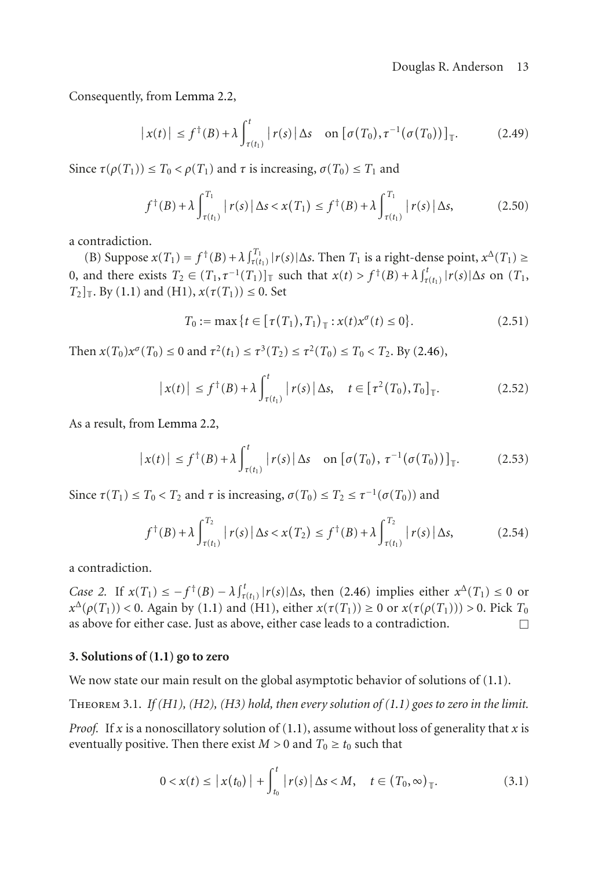Consequently, from [Lemma 2.2,](#page-1-1)

$$
\left| x(t) \right| \le f^{\dagger}(B) + \lambda \int_{\tau(t_1)}^t \left| r(s) \right| \Delta s \quad \text{on} \left[ \sigma(T_0), \tau^{-1}(\sigma(T_0)) \right]_{\mathbb{T}}.
$$
 (2.49)

Since  $\tau(\rho(T_1)) \leq T_0 < \rho(T_1)$  and  $\tau$  is increasing,  $\sigma(T_0) \leq T_1$  and

$$
f^{\dagger}(B) + \lambda \int_{\tau(t_1)}^{T_1} |r(s)| \Delta s < x(T_1) \le f^{\dagger}(B) + \lambda \int_{\tau(t_1)}^{T_1} |r(s)| \Delta s,\tag{2.50}
$$

a contradiction.

(B) Suppose  $x(T_1) = f^{\dagger}(B) + \lambda \int_{\tau(t_1)}^T |r(s)| \Delta s$ . Then  $T_1$  is a right-dense point,  $x^{\Delta}(T_1) \ge$ 0, and there exists  $T_2$  ∈  $(T_1, \tau^{-1}(T_1))$ <sub>T</sub> such that  $x(t) > f^+(B) + \lambda \int_{\tau(t_1)}^t |r(s)| \Delta s$  on  $(T_1, \tau^{-1}(T_1))$ *T*<sub>2</sub> $\vert$ <sub>T</sub>. By [\(1.1\)](#page-0-0) and (H1),  $x(\tau(T_1)) \leq 0$ . Set

$$
T_0 := \max\{t \in [\tau(T_1), T_1)_{\top} : x(t)x^{\sigma}(t) \le 0\}.
$$
 (2.51)

Then  $x(T_0)x^{\sigma}(T_0) \le 0$  and  $\tau^2(t_1) \le \tau^3(T_2) \le \tau^2(T_0) \le T_0 < T_2$ . By [\(2.46\)](#page-11-1),

$$
\left| x(t) \right| \le f^{\dagger}(B) + \lambda \int_{\tau(t_1)}^t \left| r(s) \right| \Delta s, \quad t \in \left[ \tau^2(T_0), T_0 \right]_{\mathbb{T}}. \tag{2.52}
$$

As a result, from [Lemma 2.2,](#page-1-1)

$$
\left| x(t) \right| \le f^{\dagger}(B) + \lambda \int_{\tau(t_1)}^t \left| r(s) \right| \Delta s \quad \text{on} \left[ \sigma(T_0), \, \tau^{-1}(\sigma(T_0)) \right]_{\mathbb{T}}. \tag{2.53}
$$

Since  $\tau(T_1) \leq T_0 < T_2$  and  $\tau$  is increasing,  $\sigma(T_0) \leq T_2 \leq \tau^{-1}(\sigma(T_0))$  and

$$
f^{\dagger}(B) + \lambda \int_{\tau(t_1)}^{T_2} |r(s)| \Delta s < x(T_2) \le f^{\dagger}(B) + \lambda \int_{\tau(t_1)}^{T_2} |r(s)| \Delta s,\tag{2.54}
$$

a contradiction.

*Case 2.* If  $x(T_1) \le -f^+(B) - \lambda \int_{\tau(t_1)}^t |r(s)| \Delta s$ , then [\(2.46\)](#page-11-1) implies either  $x^{\Delta}(T_1) \le 0$  or *x*<sup>Δ</sup>( $ρ(T_1)$ ) < 0. Again by [\(1.1\)](#page-0-0) and (H1), either *x*( $τ(T_1)$ ) ≥ 0 or *x*( $τ(ρ(T_1))$ ) > 0. Pick *T*<sub>0</sub> as above for either case. Just as above, either case leads to a contradiction.  $\Box$ 

### **3. Solutions of [\(1.1\)](#page-0-0) go to zero**

<span id="page-12-0"></span>We now state our main result on the global asymptotic behavior of solutions of  $(1.1)$ .

THEOREM 3.1. *If (H1), (H2), (H3) hold, then every solution of [\(1.1\)](#page-0-0)* goes to zero in the limit.

*Proof.* If *x* is a nonoscillatory solution of [\(1.1\)](#page-0-0), assume without loss of generality that *x* is eventually positive. Then there exist  $M > 0$  and  $T_0 \ge t_0$  such that

$$
0 < x(t) \le |x(t_0)| + \int_{t_0}^t |r(s)| \, \Delta s < M, \quad t \in (T_0, \infty)_\mathbb{T}.\tag{3.1}
$$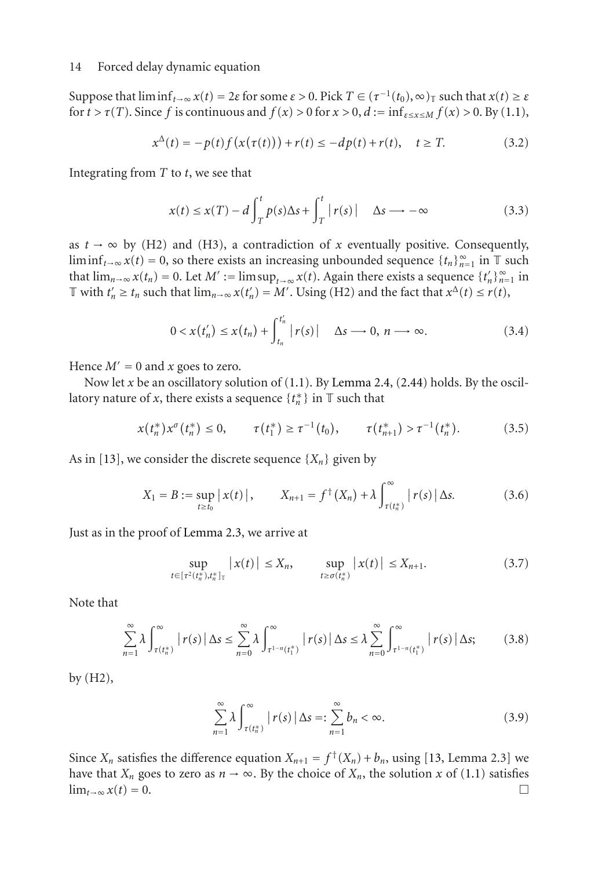Suppose that  $\liminf_{t\to\infty} x(t) = 2\varepsilon$  for some  $\varepsilon > 0$ . Pick  $T \in (\tau^{-1}(t_0), \infty)$  such that  $x(t) \geq \varepsilon$ for  $t > \tau(T)$ . Since f is continuous and  $f(x) > 0$  for  $x > 0$ ,  $d := \inf_{\varepsilon \le x \le M} f(x) > 0$ . By [\(1.1\)](#page-0-0),

$$
x^{\Delta}(t) = -p(t)f(x(\tau(t))) + r(t) \le -dp(t) + r(t), \quad t \ge T.
$$
 (3.2)

Integrating from *T* to *t*, we see that

$$
x(t) \le x(T) - d \int_{T}^{t} p(s) \Delta s + \int_{T}^{t} |r(s)| \quad \Delta s \longrightarrow -\infty
$$
 (3.3)

as  $t \to \infty$  by (H2) and (H3), a contradiction of *x* eventually positive. Consequently, liminf<sub>*t*→∞</sub>  $x(t) = 0$ , so there exists an increasing unbounded sequence  $\{t_n\}_{n=1}^{\infty}$  in  $\mathbb T$  such that  $\lim_{n\to\infty} x(t_n) = 0$ . Let  $M' := \limsup_{t\to\infty} x(t)$ . Again there exists a sequence  $\{t'_n\}_{n=1}^{\infty}$  in  $\mathbb{T}$  with  $t'_n \ge t_n$  such that  $\lim_{n \to \infty} x(t'_n) = M'$ . Using (H2) and the fact that  $x^{\Delta}(t) \le r(t)$ ,

$$
0 < x(t_n') \leq x(t_n) + \int_{t_n}^{t_n'} |r(s)| \quad \Delta s \longrightarrow 0, \ n \longrightarrow \infty. \tag{3.4}
$$

Hence  $M' = 0$  and *x* goes to zero.

Now let *x* be an oscillatory solution of [\(1.1\)](#page-0-0). By [Lemma 2.4,](#page-11-2) [\(2.44\)](#page-11-0) holds. By the oscillatory nature of *x*, there exists a sequence  $\{t_n^*\}$  in  $\mathbb T$  such that

$$
x(t_n^*)x^{\sigma}(t_n^*) \leq 0, \qquad \tau(t_1^*) \geq \tau^{-1}(t_0), \qquad \tau(t_{n+1}^*) > \tau^{-1}(t_n^*).
$$
 (3.5)

As in [\[13\]](#page-18-1), we consider the discrete sequence  $\{X_n\}$  given by

$$
X_1 = B := \sup_{t \ge t_0} |x(t)|, \qquad X_{n+1} = f^{\dagger}(X_n) + \lambda \int_{\tau(t_n^*)}^{\infty} |r(s)| \Delta s. \tag{3.6}
$$

Just as in the proof of [Lemma 2.3,](#page-8-0) we arrive at

$$
\sup_{t \in [\tau^2(t_n^*), t_n^*]_\top} |x(t)| \le X_n, \qquad \sup_{t \ge \sigma(t_n^*)} |x(t)| \le X_{n+1}.
$$
 (3.7)

Note that

$$
\sum_{n=1}^{\infty} \lambda \int_{\tau(t_n^*)}^{\infty} |r(s)| \Delta s \leq \sum_{n=0}^{\infty} \lambda \int_{\tau^{1-n}(t_1^*)}^{\infty} |r(s)| \Delta s \leq \lambda \sum_{n=0}^{\infty} \int_{\tau^{1-n}(t_1^*)}^{\infty} |r(s)| \Delta s; \qquad (3.8)
$$

by (H2),

$$
\sum_{n=1}^{\infty} \lambda \int_{\tau(t_n^*)}^{\infty} |r(s)| \Delta s =: \sum_{n=1}^{\infty} b_n < \infty.
$$
 (3.9)

Since  $X_n$  satisfies the difference equation  $X_{n+1} = f^{\dagger}(X_n) + b_n$ , using [\[13](#page-18-1), Lemma 2.3] we have that *X<sub>n</sub>* goes to zero as  $n \to \infty$ . By the choice of *X<sub>n</sub>*, the solution *x* of [\(1.1\)](#page-0-0) satisfies  $\lim_{t \to \infty} x(t) = 0$ .  $\lim_{t\to\infty} x(t) = 0.$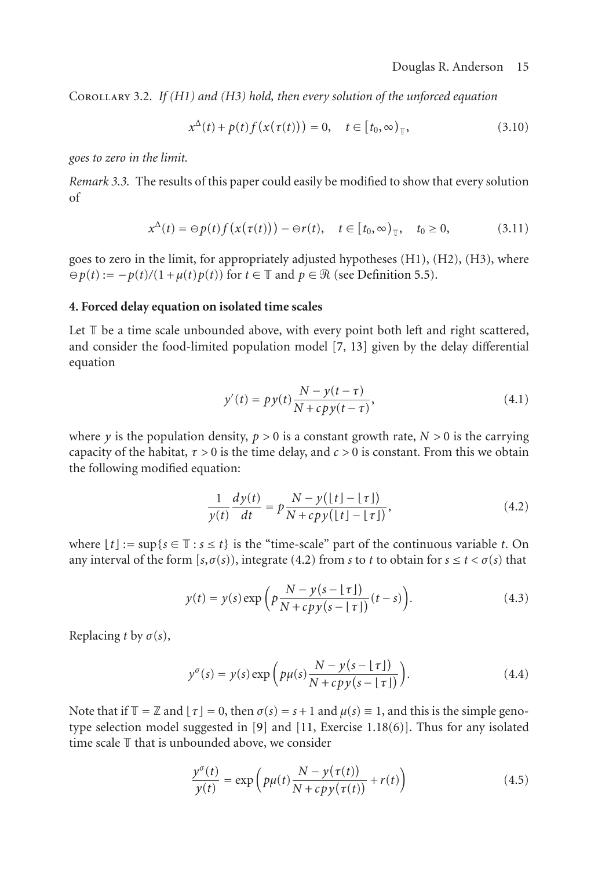Corollary 3.2. *If (H1) and (H3) hold, then every solution of the unforced equation*

$$
x^{\Delta}(t) + p(t)f(x(\tau(t))) = 0, \quad t \in [t_0, \infty)_{\mathbb{T}},
$$
\n(3.10)

*goes to zero in the limit.*

*Remark 3.3.* The results of this paper could easily be modified to show that every solution of

$$
x^{\Delta}(t) = \Theta p(t) f(x(\tau(t))) - \Theta r(t), \quad t \in [t_0, \infty)_{\mathbb{T}}, \quad t_0 \ge 0,
$$
 (3.11)

goes to zero in the limit, for appropriately adjusted hypotheses (H1), (H2), (H3), where  $\rho(t) := -p(t)/(1 + \mu(t)p(t))$  for  $t \in \mathbb{T}$  and  $p \in \mathcal{R}$  (see [Definition 5.5\)](#page-17-1).

#### **4. Forced delay equation on isolated time scales**

Let  $\mathbb T$  be a time scale unbounded above, with every point both left and right scattered, and consider the food-limited population model [\[7](#page-18-10), [13\]](#page-18-1) given by the delay differential equation

$$
y'(t) = py(t)\frac{N - y(t - \tau)}{N + cpy(t - \tau)},
$$
\n(4.1)

where *y* is the population density,  $p > 0$  is a constant growth rate,  $N > 0$  is the carrying capacity of the habitat,  $\tau > 0$  is the time delay, and  $c > 0$  is constant. From this we obtain the following modified equation:

<span id="page-14-0"></span>
$$
\frac{1}{y(t)}\frac{dy(t)}{dt} = p\frac{N - y(\lfloor t \rfloor - \lfloor \tau \rfloor)}{N + cpy(\lfloor t \rfloor - \lfloor \tau \rfloor)},\tag{4.2}
$$

where  $|t| := \sup\{s \in \mathbb{T} : s \leq t\}$  is the "time-scale" part of the continuous variable *t*. On any interval of the form  $[s, \sigma(s))$ , integrate [\(4.2\)](#page-14-0) from *s* to *t* to obtain for  $s \le t < \sigma(s)$  that

$$
y(t) = y(s) \exp\left(p\frac{N - y(s - \lfloor \tau \rfloor)}{N + cpy(s - \lfloor \tau \rfloor)}(t - s)\right).
$$
 (4.3)

Replacing *t* by  $\sigma(s)$ ,

$$
y^{\sigma}(s) = y(s) \exp\left(p\mu(s) \frac{N - y(s - \lfloor \tau \rfloor)}{N + c p y(s - \lfloor \tau \rfloor)}\right).
$$
 (4.4)

Note that if  $\mathbb{T} = \mathbb{Z}$  and  $\lfloor \tau \rfloor = 0$ , then  $\sigma(s) = s + 1$  and  $\mu(s) \equiv 1$ , and this is the simple genotype selection model suggested in [\[9\]](#page-18-11) and [\[11](#page-18-12), Exercise 1.18(6)]. Thus for any isolated time scale T that is unbounded above, we consider

<span id="page-14-1"></span>
$$
\frac{y^{\sigma}(t)}{y(t)} = \exp\left(p\mu(t)\frac{N - y(\tau(t))}{N + cpy(\tau(t))} + r(t)\right)
$$
\n(4.5)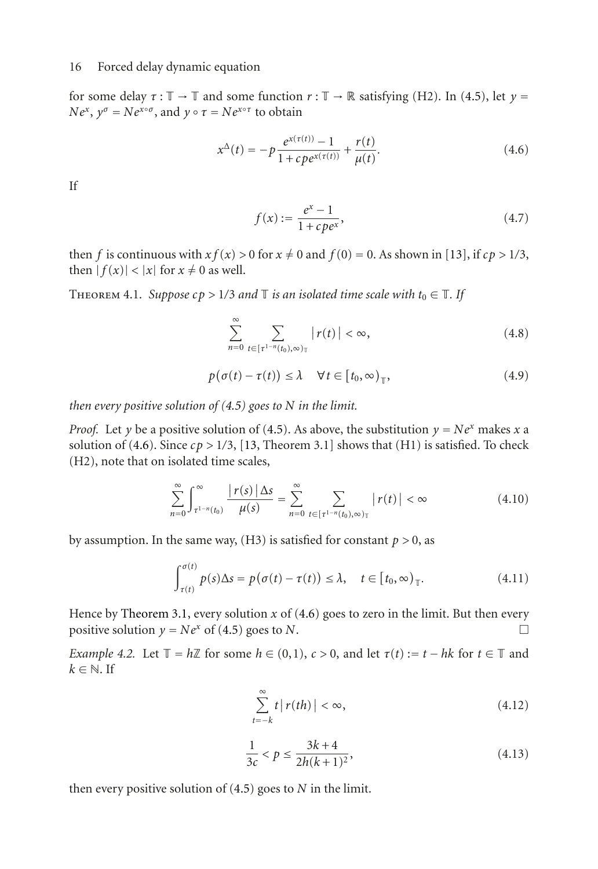for some delay  $\tau : \mathbb{T} \to \mathbb{T}$  and some function  $r : \mathbb{T} \to \mathbb{R}$  satisfying (H2). In [\(4.5\)](#page-14-1), let  $y =$  $Ne^{x}$ ,  $y^{\sigma} = Ne^{x \circ \sigma}$ , and  $y \circ \tau = Ne^{x \circ \tau}$  to obtain

$$
x^{\Delta}(t) = -p \frac{e^{x(\tau(t))} - 1}{1 + c p e^{x(\tau(t))}} + \frac{r(t)}{\mu(t)}.
$$
\n(4.6)

If

<span id="page-15-0"></span>
$$
f(x) := \frac{e^x - 1}{1 + c p e^x},\tag{4.7}
$$

then *f* is continuous with  $xf(x) > 0$  for  $x \neq 0$  and  $f(0) = 0$ . As shown in [\[13\]](#page-18-1), if  $cp > 1/3$ , then  $|f(x)| < |x|$  for  $x \neq 0$  as well.

<span id="page-15-3"></span>THEOREM 4.1. *Suppose*  $cp > 1/3$  *and*  $\mathbb{T}$  *is an isolated time scale with*  $t_0 \in \mathbb{T}$ *. If* 

<span id="page-15-2"></span>
$$
\sum_{n=0}^{\infty} \sum_{t \in [\tau^{1-n}(t_0),\infty)_{\top}} |r(t)| < \infty, \tag{4.8}
$$

$$
p(\sigma(t) - \tau(t)) \le \lambda \quad \forall t \in [t_0, \infty)_{\mathbb{T}},
$$
\n(4.9)

*then every positive solution of [\(4.5\)](#page-14-1) goes to N in the limit.*

*Proof.* Let *y* be a positive solution of [\(4.5\)](#page-14-1). As above, the substitution  $y = Ne^x$  makes *x* a solution of [\(4.6\)](#page-15-0). Since  $cp > 1/3$ , [\[13,](#page-18-1) Theorem 3.1] shows that (H1) is satisfied. To check (H2), note that on isolated time scales,

$$
\sum_{n=0}^{\infty} \int_{\tau^{1-n}(t_0)}^{\infty} \frac{|r(s)| \Delta s}{\mu(s)} = \sum_{n=0}^{\infty} \sum_{t \in [\tau^{1-n}(t_0), \infty)_{\mathbb{T}}} |r(t)| < \infty
$$
\n(4.10)

by assumption. In the same way,  $(H3)$  is satisfied for constant  $p > 0$ , as

$$
\int_{\tau(t)}^{\sigma(t)} p(s) \Delta s = p(\sigma(t) - \tau(t)) \le \lambda, \quad t \in [t_0, \infty)_{\top}.
$$
 (4.11)

Hence by [Theorem 3.1,](#page-12-0) every solution *x* of [\(4.6\)](#page-15-0) goes to zero in the limit. But then every positive solution  $y = Ne^x$  of [\(4.5\)](#page-14-1) goes to *N*.

*Example 4.2.* Let  $\mathbb{T} = h\mathbb{Z}$  for some  $h \in (0,1)$ ,  $c > 0$ , and let  $\tau(t) := t - hk$  for  $t \in \mathbb{T}$  and  $k \in \mathbb{N}$ . If

<span id="page-15-1"></span>
$$
\sum_{t=-k}^{\infty} t |r(th)| < \infty,\tag{4.12}
$$

$$
\frac{1}{3c} < p \le \frac{3k+4}{2h(k+1)^2},\tag{4.13}
$$

then every positive solution of [\(4.5\)](#page-14-1) goes to *N* in the limit.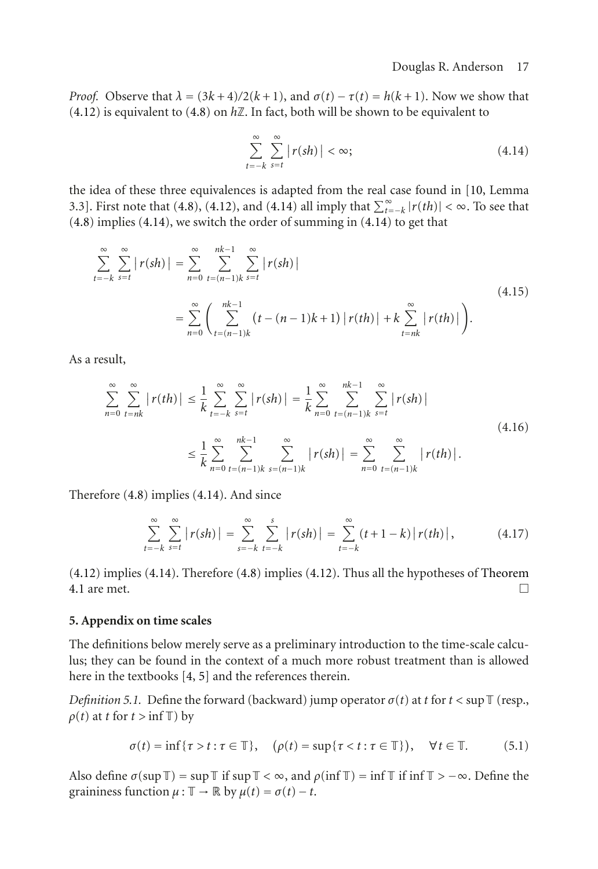*Proof.* Observe that  $\lambda = (3k+4)/2(k+1)$ , and  $\sigma(t) - \tau(t) = h(k+1)$ . Now we show that  $(4.12)$  is equivalent to  $(4.8)$  on  $h\mathbb{Z}$ . In fact, both will be shown to be equivalent to

<span id="page-16-1"></span>
$$
\sum_{t=-k}^{\infty} \sum_{s=t}^{\infty} |r(sh)| < \infty;
$$
\n(4.14)

the idea of these three equivalences is adapted from the real case found in [\[10,](#page-18-13) Lemma 3.3]. First note that [\(4.8\)](#page-15-2), [\(4.12\)](#page-15-1), and [\(4.14\)](#page-16-1) all imply that  $\sum_{t=-k}^{\infty} |r(th)| < \infty$ . To see that [\(4.8\)](#page-15-2) implies [\(4.14\)](#page-16-1), we switch the order of summing in [\(4.14\)](#page-16-1) to get that

$$
\sum_{t=-k}^{\infty} \sum_{s=t}^{\infty} |r(sh)| = \sum_{n=0}^{\infty} \sum_{t=(n-1)k}^{nk-1} \sum_{s=t}^{\infty} |r(sh)|
$$
\n
$$
= \sum_{n=0}^{\infty} \left( \sum_{t=(n-1)k}^{nk-1} (t - (n-1)k + 1) |r(th)| + k \sum_{t=nk}^{\infty} |r(th)| \right).
$$
\n(4.15)

As a result,

$$
\sum_{n=0}^{\infty} \sum_{t=nk}^{\infty} |r(th)| \leq \frac{1}{k} \sum_{t=-k}^{\infty} \sum_{s=t}^{\infty} |r(sh)| = \frac{1}{k} \sum_{n=0}^{\infty} \sum_{t=(n-1)k}^{nk-1} \sum_{s=t}^{\infty} |r(sh)|
$$
\n
$$
\leq \frac{1}{k} \sum_{n=0}^{\infty} \sum_{t=(n-1)k}^{nk-1} \sum_{s=(n-1)k}^{\infty} |r(sh)| = \sum_{n=0}^{\infty} \sum_{t=(n-1)k}^{\infty} |r(th)|.
$$
\n(4.16)

Therefore [\(4.8\)](#page-15-2) implies [\(4.14\)](#page-16-1). And since

$$
\sum_{t=-k}^{\infty} \sum_{s=t}^{\infty} |r(sh)| = \sum_{s=-k}^{\infty} \sum_{t=-k}^{s} |r(sh)| = \sum_{t=-k}^{\infty} (t+1-k) |r(th)|, \qquad (4.17)
$$

[\(4.12\)](#page-15-1) implies [\(4.14\)](#page-16-1). Therefore [\(4.8\)](#page-15-2) implies [\(4.12\)](#page-15-1). Thus all the hypotheses of [Theorem](#page-15-3) [4.1](#page-15-3) are met.  $\Box$ 

#### <span id="page-16-0"></span>**5. Appendix on time scales**

The definitions below merely serve as a preliminary introduction to the time-scale calculus; they can be found in the context of a much more robust treatment than is allowed here in the textbooks [\[4,](#page-18-8) [5](#page-18-9)] and the references therein.

*Definition 5.1.* Define the forward (backward) jump operator  $\sigma(t)$  at *t* for  $t < \sup$ T (resp.,  $\rho(t)$  at *t* for *t* > inf T) by

$$
\sigma(t) = \inf \{ \tau > t : \tau \in \mathbb{T} \}, \quad (\rho(t) = \sup \{ \tau < t : \tau \in \mathbb{T} \}, \quad \forall t \in \mathbb{T}. \tag{5.1}
$$

Also define  $\sigma(\sup \mathbb{T}) = \sup \mathbb{T}$  if  $\sup \mathbb{T} < \infty$ , and  $\rho(\inf \mathbb{T}) = \inf \mathbb{T}$  if  $\inf \mathbb{T} > -\infty$ . Define the graininess function  $\mu : \mathbb{T} \to \mathbb{R}$  by  $\mu(t) = \sigma(t) - t$ .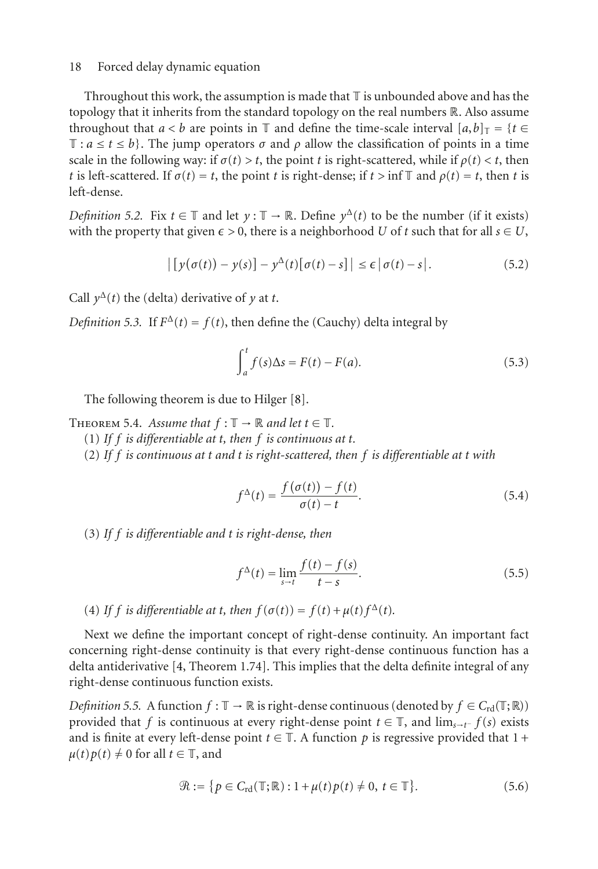Throughout this work, the assumption is made that  $\mathbb T$  is unbounded above and has the topology that it inherits from the standard topology on the real numbers R. Also assume throughout that *a* < *b* are points in T and define the time-scale interval  $[a,b]_T = \{t \in$  $\mathbb{T}: a \leq t \leq b$ . The jump operators  $\sigma$  and  $\rho$  allow the classification of points in a time scale in the following way: if  $\sigma(t) > t$ , the point *t* is right-scattered, while if  $\rho(t) < t$ , then *t* is left-scattered. If  $\sigma(t) = t$ , the point *t* is right-dense; if  $t > \inf \mathbb{T}$  and  $\rho(t) = t$ , then *t* is left-dense.

*Definition 5.2.* Fix  $t \in \mathbb{T}$  and let  $\gamma : \mathbb{T} \to \mathbb{R}$ . Define  $\gamma^{\Delta}(t)$  to be the number (if it exists) with the property that given  $\epsilon > 0$ , there is a neighborhood *U* of *t* such that for all  $s \in U$ ,

$$
\left| \left[ y(\sigma(t)) - y(s) \right] - y^{\Delta}(t) \left[ \sigma(t) - s \right] \right| \leq \epsilon \left| \sigma(t) - s \right|.
$$
 (5.2)

Call  $y^{\Delta}(t)$  the (delta) derivative of *y* at *t*.

*Definition 5.3.* If  $F^{\Delta}(t) = f(t)$ , then define the (Cauchy) delta integral by

$$
\int_{a}^{t} f(s) \Delta s = F(t) - F(a). \tag{5.3}
$$

The following theorem is due to Hilger [\[8\]](#page-18-0).

<span id="page-17-0"></span>THEOREM 5.4. Assume that  $f : \mathbb{T} \to \mathbb{R}$  and let  $t \in \mathbb{T}$ .

(1) *If f is differentiable at t, then f is continuous at t.*

(2) *If f is continuous at t and t is right-scattered, then f is differentiable at t with*

$$
f^{\Delta}(t) = \frac{f(\sigma(t)) - f(t)}{\sigma(t) - t}.
$$
\n(5.4)

(3) *If f is differentiable and t is right-dense, then*

$$
f^{\Delta}(t) = \lim_{s \to t} \frac{f(t) - f(s)}{t - s}.
$$
 (5.5)

(4) If *f* is differentiable at *t*, then  $f(\sigma(t)) = f(t) + \mu(t) f^{\Delta}(t)$ .

Next we define the important concept of right-dense continuity. An important fact concerning right-dense continuity is that every right-dense continuous function has a delta antiderivative [\[4](#page-18-8), Theorem 1.74]. This implies that the delta definite integral of any right-dense continuous function exists.

<span id="page-17-1"></span>*Definition 5.5.* A function  $f : \mathbb{T} \to \mathbb{R}$  is right-dense continuous (denoted by  $f \in C_{\text{rd}}(\mathbb{T};\mathbb{R})$ ) provided that *f* is continuous at every right-dense point  $t \in \mathbb{T}$ , and  $\lim_{s \to t^-} f(s)$  exists and is finite at every left-dense point  $t \in \mathbb{T}$ . A function p is regressive provided that  $1 +$  $\mu(t)p(t) \neq 0$  for all  $t \in \mathbb{T}$ , and

$$
\mathcal{R} := \{ p \in C_{\rm rd}(\mathbb{T}; \mathbb{R}) : 1 + \mu(t) p(t) \neq 0, t \in \mathbb{T} \}. \tag{5.6}
$$